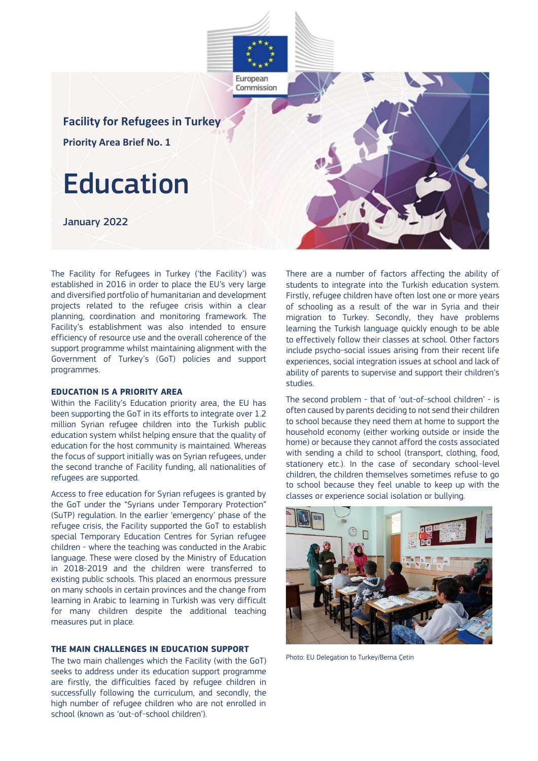

The Facility for Refugees in Turkey ('the Facility') was established in 2016 in order to place the EU's very large and diversified portfolio of humanitarian and development projects related to the refugee crisis within a clear planning, coordination and monitoring framework. The Facility's establishment was also intended to ensure efficiency of resource use and the overall coherence of the support programme whilst maintaining alignment with the Government of Turkey's (GoT) policies and support programmes.

# **EDUCATION IS A PRIORITY AREA**

Within the Facility's Education priority area, the EU has been supporting the GoT in its efforts to integrate over 1.2 million Syrian refugee children into the Turkish public education system whilst helping ensure that the quality of education for the host community is maintained. Whereas the focus of support initially was on Syrian refugees, under the second tranche of Facility funding, all nationalities of refugees are supported.

Access to free education for Syrian refugees is granted by the GoT under the "Syrians under Temporary Protection" (SuTP) regulation. In the earlier 'emergency' phase of the refugee crisis, the Facility supported the GoT to establish special Temporary Education Centres for Syrian refugee children - where the teaching was conducted in the Arabic language. These were closed by the Ministry of Education in 2018-2019 and the children were transferred to existing public schools. This placed an enormous pressure on many schools in certain provinces and the change from learning in Arabic to learning in Turkish was very difficult for many children despite the additional teaching measures put in place.

### **THE MAIN CHALLENGES IN EDUCATION SUPPORT**

The two main challenges which the Facility (with the GoT) seeks to address under its education support programme are firstly, the difficulties faced by refugee children in successfully following the curriculum, and secondly, the high number of refugee children who are not enrolled in school (known as 'out-of-school children').

There are a number of factors affecting the ability of students to integrate into the Turkish education system. Firstly, refugee children have often lost one or more years of schooling as a result of the war in Syria and their migration to Turkey. Secondly, they have problems learning the Turkish language quickly enough to be able to effectively follow their classes at school. Other factors include psycho-social issues arising from their recent life experiences, social integration issues at school and lack of ability of parents to supervise and support their children's studies.

The second problem - that of 'out-of-school children' - is often caused by parents deciding to not send their children to school because they need them at home to support the household economy (either working outside or inside the home) or because they cannot afford the costs associated with sending a child to school (transport, clothing, food, stationery etc.). In the case of secondary school-level children, the children themselves sometimes refuse to go to school because they feel unable to keep up with the classes or experience social isolation or bullying.



Photo: EU Delegation to Turkey/Berna Çetin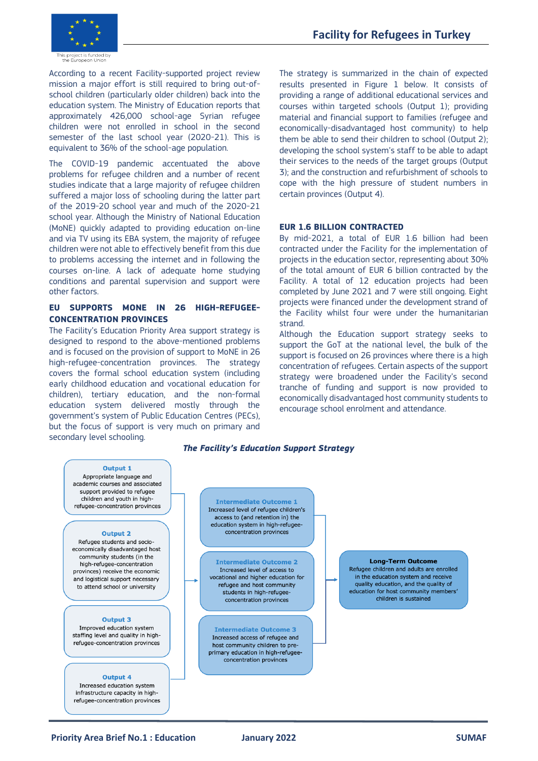

According to a recent Facility-supported project review mission a major effort is still required to bring out-ofschool children (particularly older children) back into the education system. The Ministry of Education reports that approximately 426,000 school-age Syrian refugee children were not enrolled in school in the second semester of the last school year (2020-21). This is equivalent to 36% of the school-age population.

The COVID-19 pandemic accentuated the above problems for refugee children and a number of recent studies indicate that a large majority of refugee children suffered a major loss of schooling during the latter part of the 2019-20 school year and much of the 2020-21 school year. Although the Ministry of National Education (MoNE) quickly adapted to providing education on-line and via TV using its EBA system, the majority of refugee children were not able to effectively benefit from this due to problems accessing the internet and in following the courses on-line. A lack of adequate home studying conditions and parental supervision and support were other factors.

### **EU SUPPORTS MONE IN 26 HIGH-REFUGEE-CONCENTRATION PROVINCES**

The Facility's Education Priority Area support strategy is designed to respond to the above-mentioned problems and is focused on the provision of support to MoNE in 26 high-refugee-concentration provinces. The strategy covers the formal school education system (including early childhood education and vocational education for children), tertiary education, and the non-formal education system delivered mostly through the government's system of Public Education Centres (PECs), but the focus of support is very much on primary and secondary level schooling.

The strategy is summarized in the chain of expected results presented in Figure 1 below. It consists of providing a range of additional educational services and courses within targeted schools (Output 1); providing material and financial support to families (refugee and economically-disadvantaged host community) to help them be able to send their children to school (Output 2); developing the school system's staff to be able to adapt their services to the needs of the target groups (Output 3); and the construction and refurbishment of schools to cope with the high pressure of student numbers in certain provinces (Output 4).

### **EUR 1.6 BILLION CONTRACTED**

By mid-2021, a total of EUR 1.6 billion had been contracted under the Facility for the implementation of projects in the education sector, representing about 30% of the total amount of EUR 6 billion contracted by the Facility. A total of 12 education projects had been completed by June 2021 and 7 were still ongoing. Eight projects were financed under the development strand of the Facility whilst four were under the humanitarian strand.

Although the Education support strategy seeks to support the GoT at the national level, the bulk of the support is focused on 26 provinces where there is a high concentration of refugees. Certain aspects of the support strategy were broadened under the Facility's second tranche of funding and support is now provided to economically disadvantaged host community students to encourage school enrolment and attendance.

### *The Facility's Education Support Strategy*



### **Output 4**

Increased education system infrastructure capacity in highrefugee-concentration provinces

**Intermediate Outcome 1** Increased level of refugee children's access to (and retention in) the education system in high-refugeeconcentration provinces

**Intermediate Outcome 2** Increased level of access to vocational and higher education for refugee and host community students in high-refugeeconcentration provinces

**Intermediate Outcome 3** Increased access of refugee and host community children to preprimary education in high-refugeeconcentration provinces

**Long-Term Outcome** 

Refugee children and adults are enrolled in the education system and receive quality education, and the quality of education for host community members' children is sustained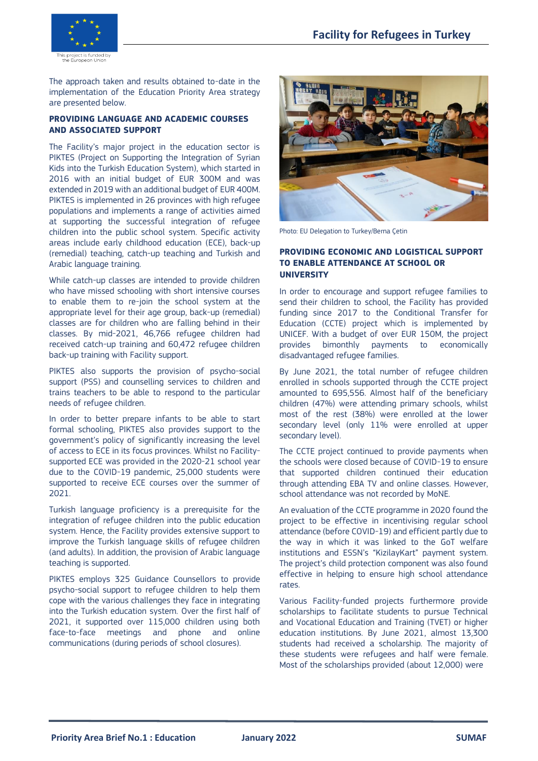

The approach taken and results obtained to-date in the implementation of the Education Priority Area strategy are presented below.

# **PROVIDING LANGUAGE AND ACADEMIC COURSES AND ASSOCIATED SUPPORT**

The Facility's major project in the education sector is PIKTES (Project on Supporting the Integration of Syrian Kids into the Turkish Education System), which started in 2016 with an initial budget of EUR 300M and was extended in 2019 with an additional budget of EUR 400M. PIKTES is implemented in 26 provinces with high refugee populations and implements a range of activities aimed at supporting the successful integration of refugee children into the public school system. Specific activity areas include early childhood education (ECE), back-up (remedial) teaching, catch-up teaching and Turkish and Arabic language training.

While catch-up classes are intended to provide children who have missed schooling with short intensive courses to enable them to re-join the school system at the appropriate level for their age group, back-up (remedial) classes are for children who are falling behind in their classes. By mid-2021, 46,766 refugee children had received catch-up training and 60,472 refugee children back-up training with Facility support.

PIKTES also supports the provision of psycho-social support (PSS) and counselling services to children and trains teachers to be able to respond to the particular needs of refugee children.

In order to better prepare infants to be able to start formal schooling, PIKTES also provides support to the government's policy of significantly increasing the level of access to ECE in its focus provinces. Whilst no Facilitysupported ECE was provided in the 2020-21 school year due to the COVID-19 pandemic, 25,000 students were supported to receive ECE courses over the summer of 2021.

Turkish language proficiency is a prerequisite for the integration of refugee children into the public education system. Hence, the Facility provides extensive support to improve the Turkish language skills of refugee children (and adults). In addition, the provision of Arabic language teaching is supported.

PIKTES employs 325 Guidance Counsellors to provide psycho-social support to refugee children to help them cope with the various challenges they face in integrating into the Turkish education system. Over the first half of 2021, it supported over 115,000 children using both face-to-face meetings and phone and online communications (during periods of school closures).



Photo: EU Delegation to Turkey/Berna Çetin

# **PROVIDING ECONOMIC AND LOGISTICAL SUPPORT TO ENABLE ATTENDANCE AT SCHOOL OR UNIVERSITY**

In order to encourage and support refugee families to send their children to school, the Facility has provided funding since 2017 to the Conditional Transfer for Education (CCTE) project which is implemented by UNICEF. With a budget of over EUR 150M, the project provides bimonthly payments to economically disadvantaged refugee families.

By June 2021, the total number of refugee children enrolled in schools supported through the CCTE project amounted to 695,556. Almost half of the beneficiary children (47%) were attending primary schools, whilst most of the rest (38%) were enrolled at the lower secondary level (only 11% were enrolled at upper secondary level).

The CCTE project continued to provide payments when the schools were closed because of COVID-19 to ensure that supported children continued their education through attending EBA TV and online classes. However, school attendance was not recorded by MoNE.

An evaluation of the CCTE programme in 2020 found the project to be effective in incentivising regular school attendance (before COVID-19) and efficient partly due to the way in which it was linked to the GoT welfare institutions and ESSN's "KizilayKart" payment system. The project's child protection component was also found effective in helping to ensure high school attendance rates.

Various Facility-funded projects furthermore provide scholarships to facilitate students to pursue Technical and Vocational Education and Training (TVET) or higher education institutions. By June 2021, almost 13,300 students had received a scholarship. The majority of these students were refugees and half were female. Most of the scholarships provided (about 12,000) were